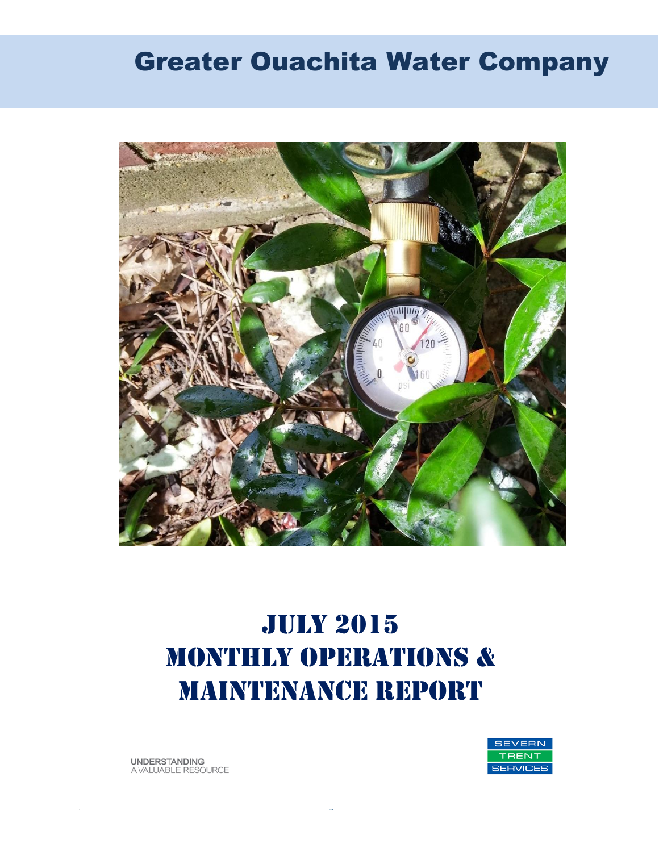# Greater Ouachita Water Company



# July 2015 MONTHLY OPERATIONS & MAINTENANCE REPORT

**UNDERSTANDING** A VALUABLE RESOURCE

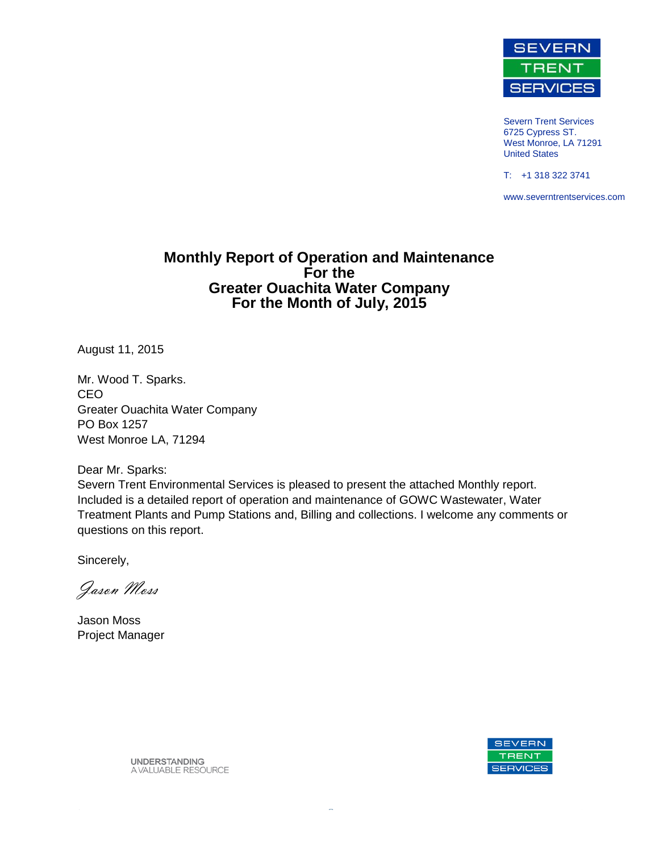

Severn Trent Services 6725 Cypress ST. West Monroe, LA 71291 United States

T: +1 318 322 3741

www.severntrentservices.com

#### **Monthly Report of Operation and Maintenance For the Greater Ouachita Water Company For the Month of July, 2015**

August 11, 2015

Mr. Wood T. Sparks. CEO Greater Ouachita Water Company PO Box 1257 West Monroe LA, 71294

Dear Mr. Sparks:

Severn Trent Environmental Services is pleased to present the attached Monthly report. Included is a detailed report of operation and maintenance of GOWC Wastewater, Water Treatment Plants and Pump Stations and, Billing and collections. I welcome any comments or questions on this report.

Sincerely,

Jason Moss

Jason Moss Project Manager



**UNDERSTANDING** A VALUABLE RESOURCE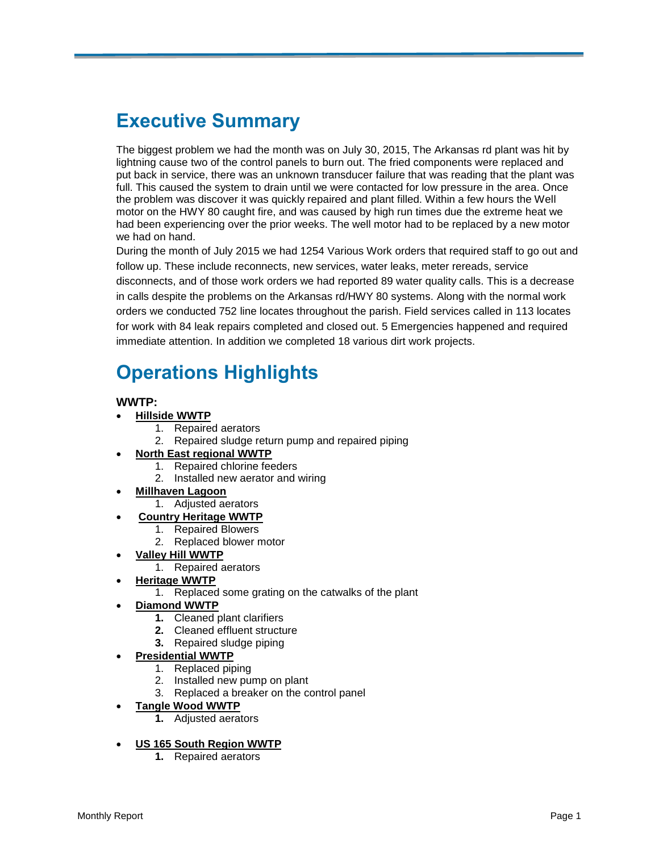## **Executive Summary**

The biggest problem we had the month was on July 30, 2015, The Arkansas rd plant was hit by lightning cause two of the control panels to burn out. The fried components were replaced and put back in service, there was an unknown transducer failure that was reading that the plant was full. This caused the system to drain until we were contacted for low pressure in the area. Once the problem was discover it was quickly repaired and plant filled. Within a few hours the Well motor on the HWY 80 caught fire, and was caused by high run times due the extreme heat we had been experiencing over the prior weeks. The well motor had to be replaced by a new motor we had on hand.

During the month of July 2015 we had 1254 Various Work orders that required staff to go out and follow up. These include reconnects, new services, water leaks, meter rereads, service disconnects, and of those work orders we had reported 89 water quality calls. This is a decrease in calls despite the problems on the Arkansas rd/HWY 80 systems. Along with the normal work orders we conducted 752 line locates throughout the parish. Field services called in 113 locates for work with 84 leak repairs completed and closed out. 5 Emergencies happened and required immediate attention. In addition we completed 18 various dirt work projects.

## **Operations Highlights**

#### **WWTP:**

- **Hillside WWTP** 
	- 1. Repaired aerators
	- 2. Repaired sludge return pump and repaired piping

#### **North East regional WWTP**

- 1. Repaired chlorine feeders
- 2. Installed new aerator and wiring

#### **Millhaven Lagoon**

- 1. Adjusted aerators
- **Country Heritage WWTP**
	- 1. Repaired Blowers
	- 2. Replaced blower motor
- **Valley Hill WWTP**
	- 1. Repaired aerators
	- **Heritage WWTP**
		- 1. Replaced some grating on the catwalks of the plant
- **Diamond WWTP**
	- **1.** Cleaned plant clarifiers
	- **2.** Cleaned effluent structure
	- **3.** Repaired sludge piping

#### **Presidential WWTP**

- 1. Replaced piping
- 2. Installed new pump on plant
- 3. Replaced a breaker on the control panel

#### **Tangle Wood WWTP**

**1.** Adjusted aerators

#### **US 165 South Region WWTP**

**1.** Repaired aerators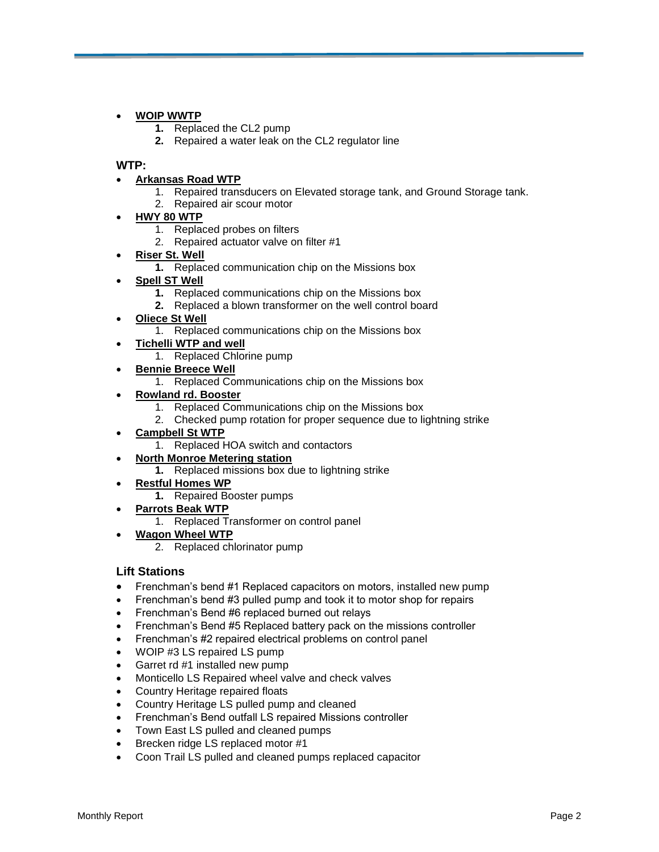#### **WOIP WWTP**

- **1.** Replaced the CL2 pump
- **2.** Repaired a water leak on the CL2 regulator line

#### **WTP:**

#### **Arkansas Road WTP**

- 1. Repaired transducers on Elevated storage tank, and Ground Storage tank.
- 2. Repaired air scour motor
- **HWY 80 WTP**
	- 1. Replaced probes on filters
	- 2. Repaired actuator valve on filter #1
- **Riser St. Well**
	- **1.** Replaced communication chip on the Missions box
- **Spell ST Well**
	- **1.** Replaced communications chip on the Missions box
	- **2.** Replaced a blown transformer on the well control board
- **Oliece St Well**
	- 1. Replaced communications chip on the Missions box
- **Tichelli WTP and well**
	- 1. Replaced Chlorine pump
- **Bennie Breece Well**
	- 1. Replaced Communications chip on the Missions box

#### **Rowland rd. Booster**

- 1. Replaced Communications chip on the Missions box
- 2. Checked pump rotation for proper sequence due to lightning strike
- **Campbell St WTP**
	- 1. Replaced HOA switch and contactors

#### **North Monroe Metering station**

- **1.** Replaced missions box due to lightning strike
- **Restful Homes WP** 
	- **1.** Repaired Booster pumps
- **Parrots Beak WTP**
	- 1. Replaced Transformer on control panel
- **Wagon Wheel WTP**
	- 2. Replaced chlorinator pump

#### **Lift Stations**

- Frenchman's bend #1 Replaced capacitors on motors, installed new pump
- Frenchman's bend #3 pulled pump and took it to motor shop for repairs
- Frenchman's Bend #6 replaced burned out relays
- Frenchman's Bend #5 Replaced battery pack on the missions controller
- Frenchman's #2 repaired electrical problems on control panel
- WOIP #3 LS repaired LS pump
- Garret rd #1 installed new pump
- Monticello LS Repaired wheel valve and check valves
- Country Heritage repaired floats
- Country Heritage LS pulled pump and cleaned
- Frenchman's Bend outfall LS repaired Missions controller
- Town East LS pulled and cleaned pumps
- Brecken ridge LS replaced motor #1
- Coon Trail LS pulled and cleaned pumps replaced capacitor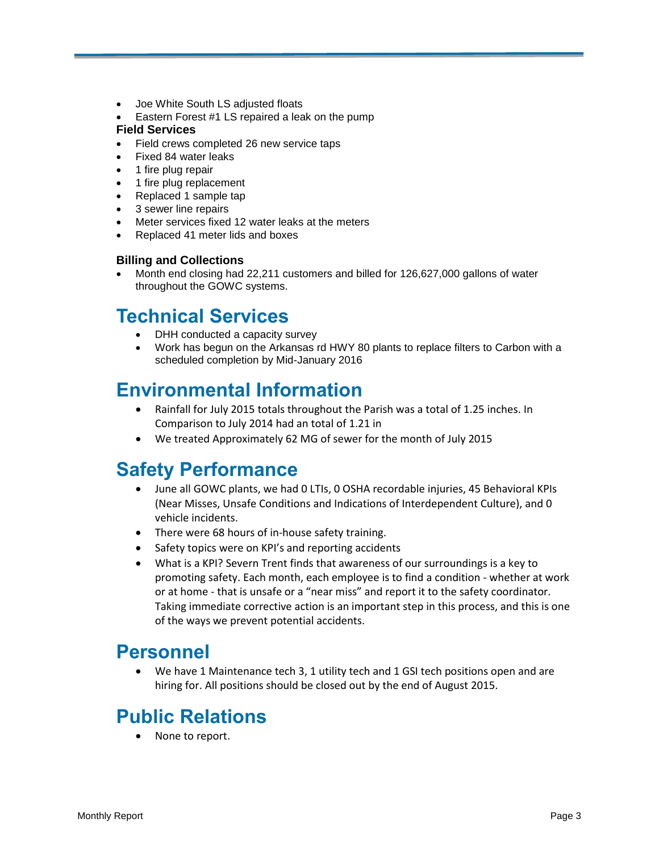- Joe White South LS adjusted floats
- Eastern Forest #1 LS repaired a leak on the pump

#### **Field Services**

- Field crews completed 26 new service taps
- Fixed 84 water leaks
- 1 fire plug repair
- 1 fire plug replacement
- Replaced 1 sample tap
- 3 sewer line repairs
- Meter services fixed 12 water leaks at the meters
- Replaced 41 meter lids and boxes

#### **Billing and Collections**

 Month end closing had 22,211 customers and billed for 126,627,000 gallons of water throughout the GOWC systems.

## **Technical Services**

- DHH conducted a capacity survey
- Work has begun on the Arkansas rd HWY 80 plants to replace filters to Carbon with a scheduled completion by Mid-January 2016

## **Environmental Information**

- Rainfall for July 2015 totals throughout the Parish was a total of 1.25 inches. In Comparison to July 2014 had an total of 1.21 in
- We treated Approximately 62 MG of sewer for the month of July 2015

### **Safety Performance**

- June all GOWC plants, we had 0 LTIs, 0 OSHA recordable injuries, 45 Behavioral KPIs (Near Misses, Unsafe Conditions and Indications of Interdependent Culture), and 0 vehicle incidents.
- There were 68 hours of in-house safety training.
- Safety topics were on KPI's and reporting accidents
- What is a KPI? Severn Trent finds that awareness of our surroundings is a key to promoting safety. Each month, each employee is to find a condition - whether at work or at home - that is unsafe or a "near miss" and report it to the safety coordinator. Taking immediate corrective action is an important step in this process, and this is one of the ways we prevent potential accidents.

### **Personnel**

We have 1 Maintenance tech 3, 1 utility tech and 1 GSI tech positions open and are hiring for. All positions should be closed out by the end of August 2015.

## **Public Relations**

• None to report.